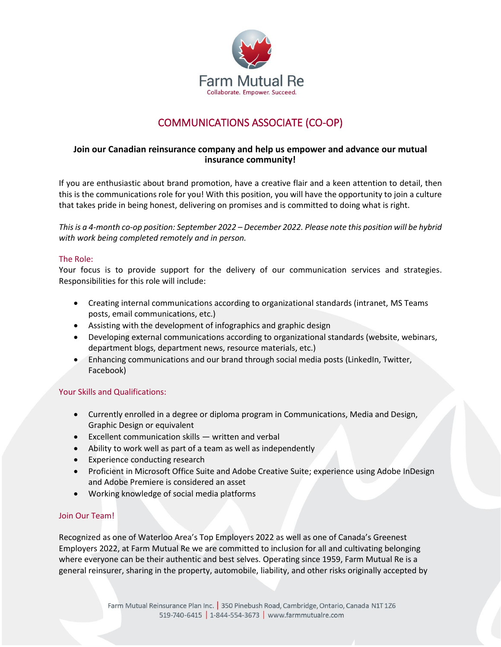

# COMMUNICATIONS ASSOCIATE (CO-OP)

## **Join our Canadian reinsurance company and help us empower and advance our mutual insurance community!**

If you are enthusiastic about brand promotion, have a creative flair and a keen attention to detail, then this is the communications role for you! With this position, you will have the opportunity to join a culture that takes pride in being honest, delivering on promises and is committed to doing what is right.

*This is a 4-month co-op position: September 2022 – December 2022. Please note this position will be hybrid with work being completed remotely and in person.*

### The Role:

Your focus is to provide support for the delivery of our communication services and strategies. Responsibilities for this role will include:

- Creating internal communications according to organizational standards (intranet, MS Teams posts, email communications, etc.)
- Assisting with the development of infographics and graphic design
- Developing external communications according to organizational standards (website, webinars, department blogs, department news, resource materials, etc.)
- Enhancing communications and our brand through social media posts (LinkedIn, Twitter, Facebook)

### Your Skills and Qualifications:

- Currently enrolled in a degree or diploma program in Communications, Media and Design, Graphic Design or equivalent
- Excellent communication skills written and verbal
- Ability to work well as part of a team as well as independently
- Experience conducting research
- Proficient in Microsoft Office Suite and Adobe Creative Suite; experience using Adobe InDesign and Adobe Premiere is considered an asset
- Working knowledge of social media platforms

### Join Our Team!

Recognized as one of Waterloo Area's Top Employers 2022 as well as one of Canada's Greenest Employers 2022, at Farm Mutual Re we are committed to inclusion for all and cultivating belonging where everyone can be their authentic and best selves. Operating since 1959, Farm Mutual Re is a general reinsurer, sharing in the property, automobile, liability, and other risks originally accepted by